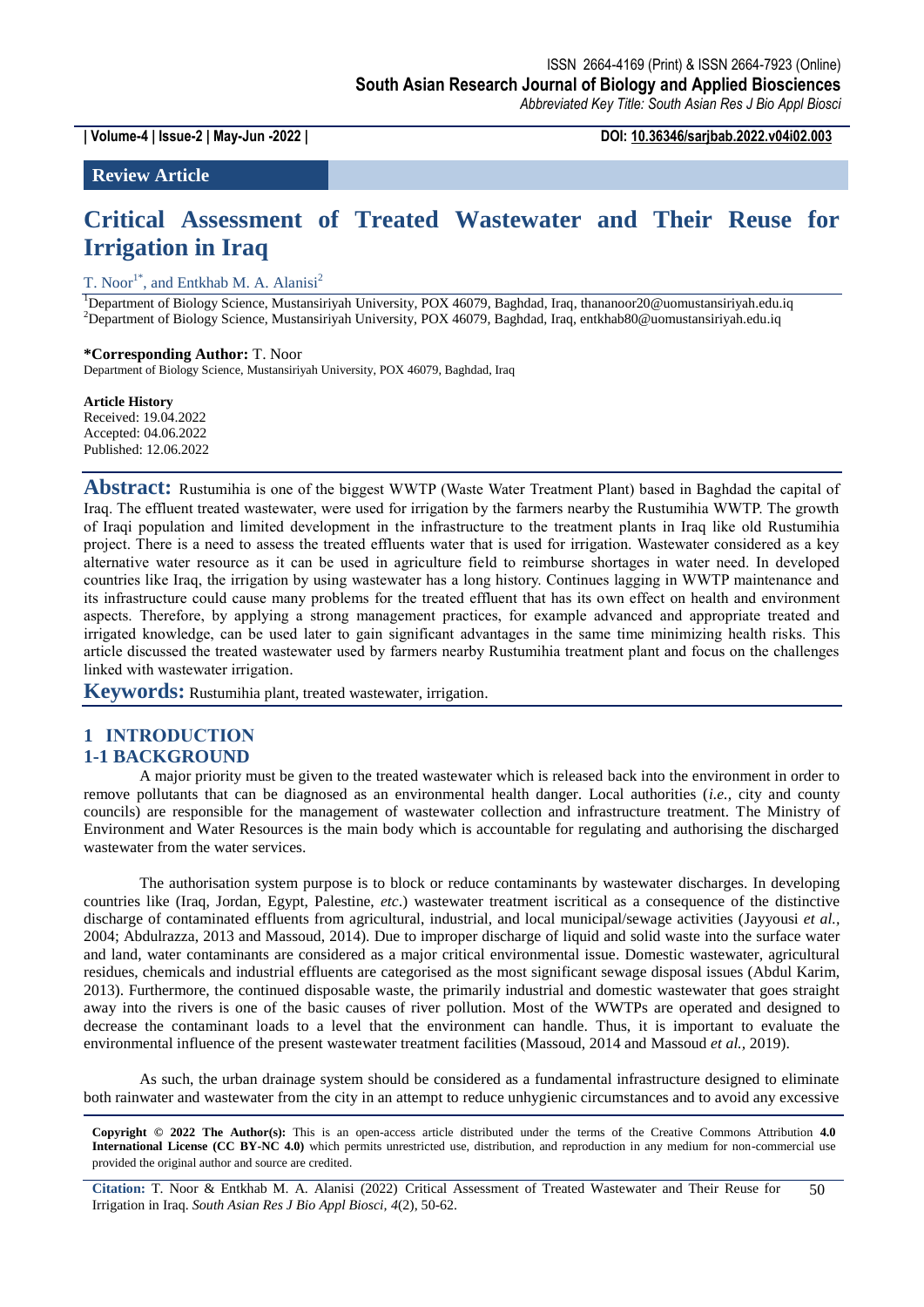**| Volume-4 | Issue-2 | May-Jun -2022 | DOI: 10.36346/sarjbab.2022.v04i02.003**

**Review Article**

# **Critical Assessment of Treated Wastewater and Their Reuse for Irrigation in Iraq**

T. Noor<sup>1\*</sup>, and Entkhab M. A. Alanisi<sup>2</sup>

<sup>1</sup>Department of Biology Science, Mustansiriyah University, POX 46079, Baghdad, Iraq, thananoor20@uomustansiriyah.edu.iq <sup>2</sup>Department of Biology Science, Mustansiriyah University, POX 46079, Baghdad, Iraq, entkhab80@uomustansiriyah.edu.iq

#### **\*Corresponding Author:** T. Noor

Department of Biology Science, Mustansiriyah University, POX 46079, Baghdad, Iraq

#### **Article History**

Received: 19.04.2022 Accepted: 04.06.2022 Published: 12.06.2022

**Abstract:** Rustumihia is one of the biggest WWTP (Waste Water Treatment Plant) based in Baghdad the capital of Iraq. The effluent treated wastewater, were used for irrigation by the farmers nearby the Rustumihia WWTP. The growth of Iraqi population and limited development in the infrastructure to the treatment plants in Iraq like old Rustumihia project. There is a need to assess the treated effluents water that is used for irrigation. Wastewater considered as a key alternative water resource as it can be used in agriculture field to reimburse shortages in water need. In developed countries like Iraq, the irrigation by using wastewater has a long history. Continues lagging in WWTP maintenance and its infrastructure could cause many problems for the treated effluent that has its own effect on health and environment aspects. Therefore, by applying a strong management practices, for example advanced and appropriate treated and irrigated knowledge, can be used later to gain significant advantages in the same time minimizing health risks. This article discussed the treated wastewater used by farmers nearby Rustumihia treatment plant and focus on the challenges linked with wastewater irrigation.

**Keywords:** Rustumihia plant, treated wastewater, irrigation.

# **1 INTRODUCTION**

## **1-1 BACKGROUND**

A major priority must be given to the treated wastewater which is released back into the environment in order to remove pollutants that can be diagnosed as an environmental health danger. Local authorities (*i.e.,* city and county councils) are responsible for the management of wastewater collection and infrastructure treatment. The Ministry of Environment and Water Resources is the main body which is accountable for regulating and authorising the discharged wastewater from the water services.

The authorisation system purpose is to block or reduce contaminants by wastewater discharges. In developing countries like (Iraq, Jordan, Egypt, Palestine, *etc*.) wastewater treatment iscritical as a consequence of the distinctive discharge of contaminated effluents from agricultural, industrial, and local municipal/sewage activities (Jayyousi *et al.,*  2004; Abdulrazza, 2013 and Massoud, 2014). Due to improper discharge of liquid and solid waste into the surface water and land, water contaminants are considered as a major critical environmental issue. Domestic wastewater, agricultural residues, chemicals and industrial effluents are categorised as the most significant sewage disposal issues (Abdul Karim, 2013). Furthermore, the continued disposable waste, the primarily industrial and domestic wastewater that goes straight away into the rivers is one of the basic causes of river pollution. Most of the WWTPs are operated and designed to decrease the contaminant loads to a level that the environment can handle. Thus, it is important to evaluate the environmental influence of the present wastewater treatment facilities (Massoud, 2014 and Massoud *et al.,* 2019).

As such, the urban drainage system should be considered as a fundamental infrastructure designed to eliminate both rainwater and wastewater from the city in an attempt to reduce unhygienic circumstances and to avoid any excessive

**Copyright © 2022 The Author(s):** This is an open-access article distributed under the terms of the Creative Commons Attribution **4.0 International License (CC BY-NC 4.0)** which permits unrestricted use, distribution, and reproduction in any medium for non-commercial use provided the original author and source are credited.

**Citation:** T. Noor & Entkhab M. A. Alanisi (2022) Critical Assessment of Treated Wastewater and Their Reuse for Irrigation in Iraq. *South Asian Res J Bio Appl Biosci, 4*(2), 50-62. 50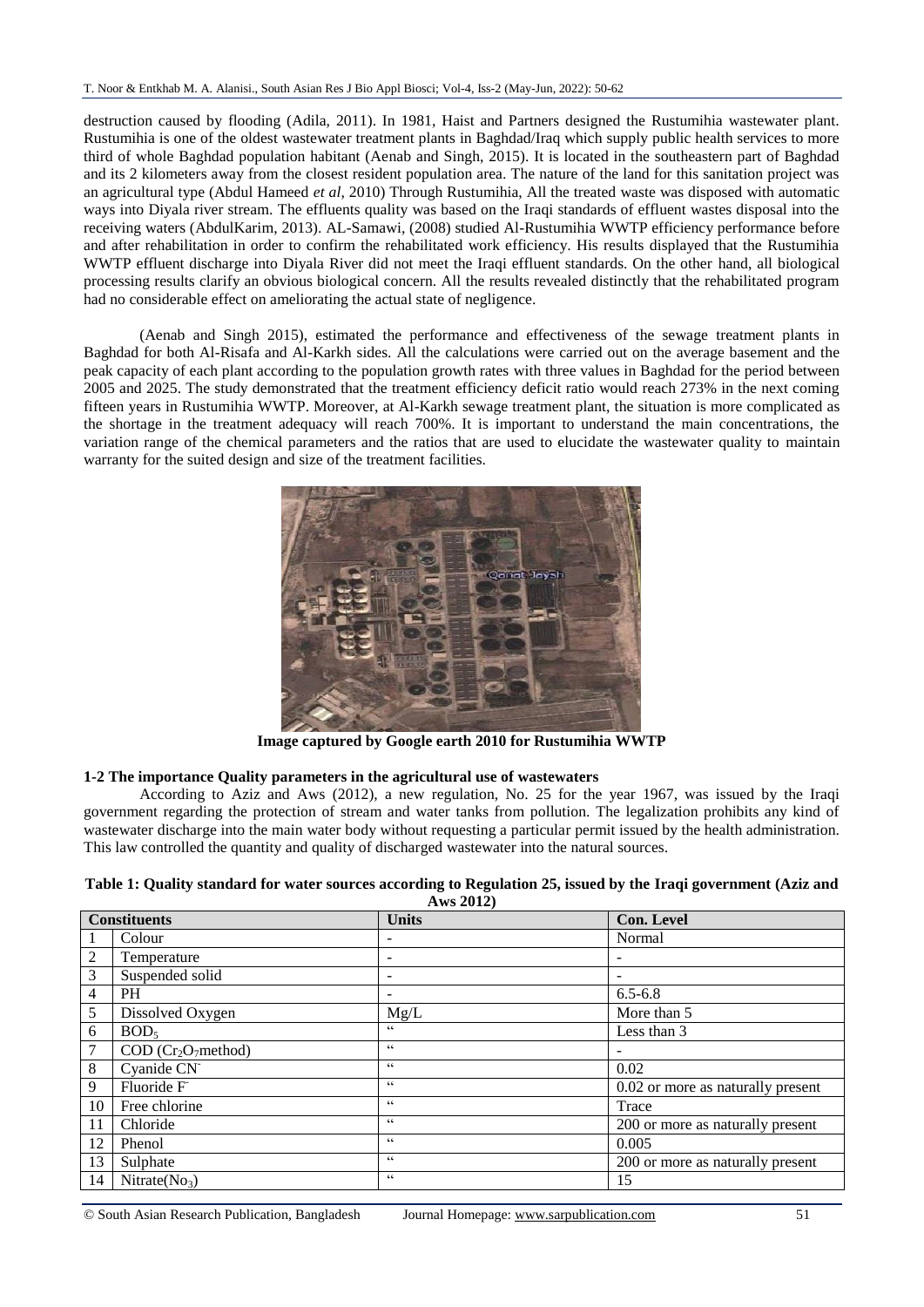destruction caused by flooding (Adila, 2011). In 1981, Haist and Partners designed the Rustumihia wastewater plant. Rustumihia is one of the oldest wastewater treatment plants in Baghdad/Iraq which supply public health services to more third of whole Baghdad population habitant (Aenab and Singh, 2015). It is located in the southeastern part of Baghdad and its 2 kilometers away from the closest resident population area. The nature of the land for this sanitation project was an agricultural type (Abdul Hameed *et al,* 2010) Through Rustumihia, All the treated waste was disposed with automatic ways into Diyala river stream. The effluents quality was based on the Iraqi standards of effluent wastes disposal into the receiving waters (AbdulKarim, 2013). AL-Samawi, (2008) studied Al-Rustumihia WWTP efficiency performance before and after rehabilitation in order to confirm the rehabilitated work efficiency. His results displayed that the Rustumihia WWTP effluent discharge into Diyala River did not meet the Iraqi effluent standards. On the other hand, all biological processing results clarify an obvious biological concern. All the results revealed distinctly that the rehabilitated program had no considerable effect on ameliorating the actual state of negligence.

(Aenab and Singh 2015), estimated the performance and effectiveness of the sewage treatment plants in Baghdad for both Al-Risafa and Al-Karkh sides. All the calculations were carried out on the average basement and the peak capacity of each plant according to the population growth rates with three values in Baghdad for the period between 2005 and 2025. The study demonstrated that the treatment efficiency deficit ratio would reach 273% in the next coming fifteen years in Rustumihia WWTP. Moreover, at Al-Karkh sewage treatment plant, the situation is more complicated as the shortage in the treatment adequacy will reach 700%. It is important to understand the main concentrations, the variation range of the chemical parameters and the ratios that are used to elucidate the wastewater quality to maintain warranty for the suited design and size of the treatment facilities.



**Image captured by Google earth 2010 for Rustumihia WWTP**

### **1-2 The importance Quality parameters in the agricultural use of wastewaters**

According to Aziz and Aws (2012), a new regulation, No. 25 for the year 1967, was issued by the Iraqi government regarding the protection of stream and water tanks from pollution. The legalization prohibits any kind of wastewater discharge into the main water body without requesting a particular permit issued by the health administration. This law controlled the quantity and quality of discharged wastewater into the natural sources.

### **Table 1: Quality standard for water sources according to Regulation 25, issued by the Iraqi government (Aziz and Aws 2012)**

| <b>Constituents</b> |                           | <b>Units</b>             | Con. Level                        |
|---------------------|---------------------------|--------------------------|-----------------------------------|
| $\mathbf{1}$        | Colour                    | $\overline{\phantom{0}}$ | Normal                            |
| $\overline{c}$      | Temperature               | $\overline{\phantom{0}}$ |                                   |
| 3                   | Suspended solid           | $\overline{\phantom{a}}$ | $\overline{\phantom{a}}$          |
| $\overline{4}$      | <b>PH</b>                 | $\overline{\phantom{a}}$ | $6.5 - 6.8$                       |
| 5                   | Dissolved Oxygen          | Mg/L                     | More than 5                       |
| 6                   | BOD <sub>5</sub>          | 66                       | Less than 3                       |
| 7                   | $COD (Cr2O7 method)$      | $\zeta\,\zeta$           |                                   |
| $\,8\,$             | Cyanide CN <sup>-</sup>   | $\zeta\,\zeta$           | 0.02                              |
| 9                   | Fluoride F                | $\zeta\,\zeta$           | 0.02 or more as naturally present |
| 10                  | Free chlorine             | 66                       | Trace                             |
| 11                  | Chloride                  | 66                       | 200 or more as naturally present  |
| 12                  | Phenol                    | 66                       | 0.005                             |
| 13                  | Sulphate                  | 66                       | 200 or more as naturally present  |
| 14                  | Nitrate(No <sub>3</sub> ) | 66                       | 15                                |

© South Asian Research Publication, Bangladesh Journal Homepage: www.sarpublication.com 51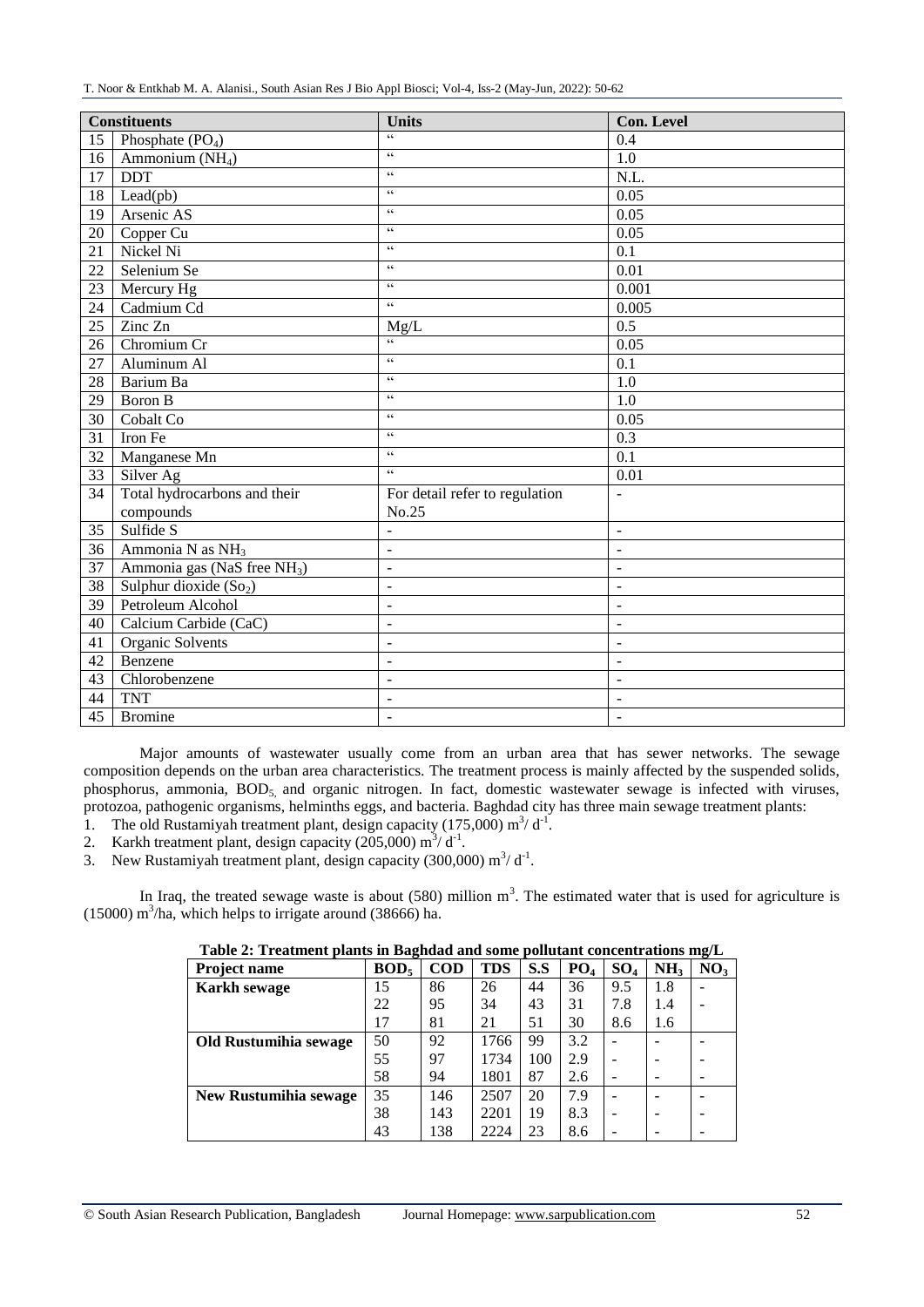| <b>Constituents</b> |                                         | <b>Units</b>                   | <b>Con. Level</b>        |  |
|---------------------|-----------------------------------------|--------------------------------|--------------------------|--|
| 15                  | Phosphate $(PO4)$                       | 66                             | 0.4                      |  |
| 16                  | Ammonium $(NH4)$                        | $\zeta\,\zeta$                 | $\overline{1.0}$         |  |
| 17                  | <b>DDT</b>                              | $\zeta\,\zeta$                 | $\overline{\text{N.L.}}$ |  |
| 18                  | Lead(pb)                                | $\zeta\,\zeta$                 | 0.05                     |  |
| 19                  | Arsenic AS                              | $\zeta\,\zeta$                 | 0.05                     |  |
| 20                  | Copper Cu                               | $\zeta\,\zeta$                 | 0.05                     |  |
| 21                  | Nickel Ni                               | $\zeta\,\zeta$                 | 0.1                      |  |
| 22                  | Selenium Se                             | $\zeta\,\zeta$                 | 0.01                     |  |
| 23                  | Mercury Hg                              | $\zeta\,\zeta$                 | 0.001                    |  |
| 24                  | Cadmium Cd                              | $\sqrt{6}$                     | 0.005                    |  |
| 25                  | Zinc Zn                                 | Mg/L                           | 0.5                      |  |
| 26                  | Chromium Cr                             | $\overline{\omega}$            | 0.05                     |  |
| $\overline{27}$     | Aluminum Al                             | $\zeta\,\zeta$                 | 0.1                      |  |
| 28                  | Barium Ba                               | $\zeta\,\zeta$                 | $\overline{1.0}$         |  |
| 29                  | Boron B                                 | $\zeta\,\zeta$                 | 1.0                      |  |
| 30                  | Cobalt Co                               | $\zeta\,\zeta$                 | 0.05                     |  |
| 31                  | Iron Fe                                 | $\zeta\,\zeta$                 | 0.3                      |  |
| 32                  | Manganese Mn                            | $\zeta\,\zeta$                 | 0.1                      |  |
| 33                  | Silver Ag                               | $\zeta\,\zeta$                 | 0.01                     |  |
| 34                  | Total hydrocarbons and their            | For detail refer to regulation | $\overline{\phantom{a}}$ |  |
|                     | compounds                               | No.25                          |                          |  |
| $\overline{35}$     | Sulfide S                               | $\overline{a}$                 | $\bar{\phantom{a}}$      |  |
| 36                  | Ammonia N as $NH3$                      | $\overline{a}$                 | $\frac{1}{2}$            |  |
| 37                  | Ammonia gas (NaS free NH <sub>3</sub> ) | $\Box$                         | $\blacksquare$           |  |
| 38                  | Sulphur dioxide (So <sub>2</sub> )      | $\overline{a}$                 | $\overline{a}$           |  |
| 39                  | Petroleum Alcohol                       | $\overline{a}$                 | $\overline{\phantom{a}}$ |  |
| 40                  | Calcium Carbide (CaC)                   | $\overline{a}$                 | $\overline{a}$           |  |
| 41                  | Organic Solvents                        | $\overline{\phantom{a}}$       | $\blacksquare$           |  |
| 42                  | Benzene                                 | $\overline{a}$                 | $\overline{a}$           |  |
| 43                  | Chlorobenzene                           | $\overline{\phantom{a}}$       | $\overline{\phantom{a}}$ |  |
| 44                  | <b>TNT</b>                              | $\overline{a}$                 | $\sim$                   |  |
| 45                  | <b>Bromine</b>                          | $\overline{\phantom{a}}$       | $\overline{\phantom{a}}$ |  |

Major amounts of wastewater usually come from an urban area that has sewer networks. The sewage composition depends on the urban area characteristics. The treatment process is mainly affected by the suspended solids, phosphorus, ammonia, BOD<sub>5</sub> and organic nitrogen. In fact, domestic wastewater sewage is infected with viruses, protozoa, pathogenic organisms, helminths eggs, and bacteria. Baghdad city has three main sewage treatment plants:

- 1. The old Rustamiyah treatment plant, design capacity (175,000)  $\text{m}^3/\text{d}^{-1}$ .
- 2. Karkh treatment plant, design capacity  $(205,000)$  m<sup>3</sup>/d<sup>-1</sup>.
- 3. New Rustamiyah treatment plant, design capacity (300,000)  $\text{m}^3/\text{d}^{-1}$ .

In Iraq, the treated sewage waste is about  $(580)$  million m<sup>3</sup>. The estimated water that is used for agriculture is  $(15000)$  m<sup>3</sup>/ha, which helps to irrigate around  $(38666)$  ha.

| Table 2: Treatment plants in Bagndad and some politically concentrations mg/L |                  |            |            |     |                 |        |                 |                 |
|-------------------------------------------------------------------------------|------------------|------------|------------|-----|-----------------|--------|-----------------|-----------------|
| <b>Project name</b>                                                           | BOD <sub>5</sub> | <b>COD</b> | <b>TDS</b> | S.S | PO <sub>4</sub> | $SO_4$ | NH <sub>3</sub> | NO <sub>3</sub> |
| <b>Karkh sewage</b>                                                           | 15               | 86         | 26         | 44  | 36              | 9.5    | 1.8             |                 |
|                                                                               | 22               | 95         | 34         | 43  | 31              | 7.8    | 1.4             |                 |
|                                                                               | 17               | 81         | 21         | 51  | 30              | 8.6    | 1.6             |                 |
| Old Rustumihia sewage                                                         | 50               | 92         | 1766       | 99  | 3.2             |        |                 |                 |
|                                                                               | 55               | 97         | 1734       | 100 | 2.9             |        |                 |                 |
|                                                                               | 58               | 94         | 1801       | 87  | 2.6             |        |                 |                 |
| <b>New Rustumihia sewage</b>                                                  | 35               | 146        | 2507       | 20  | 7.9             |        |                 |                 |
|                                                                               | 38               | 143        | 2201       | 19  | 8.3             |        |                 |                 |
|                                                                               | 43               | 138        | 2224       | 23  | 8.6             |        |                 |                 |

# **Table 2: Treatment plants in Baghdad and some pollutant concentrations mg/L**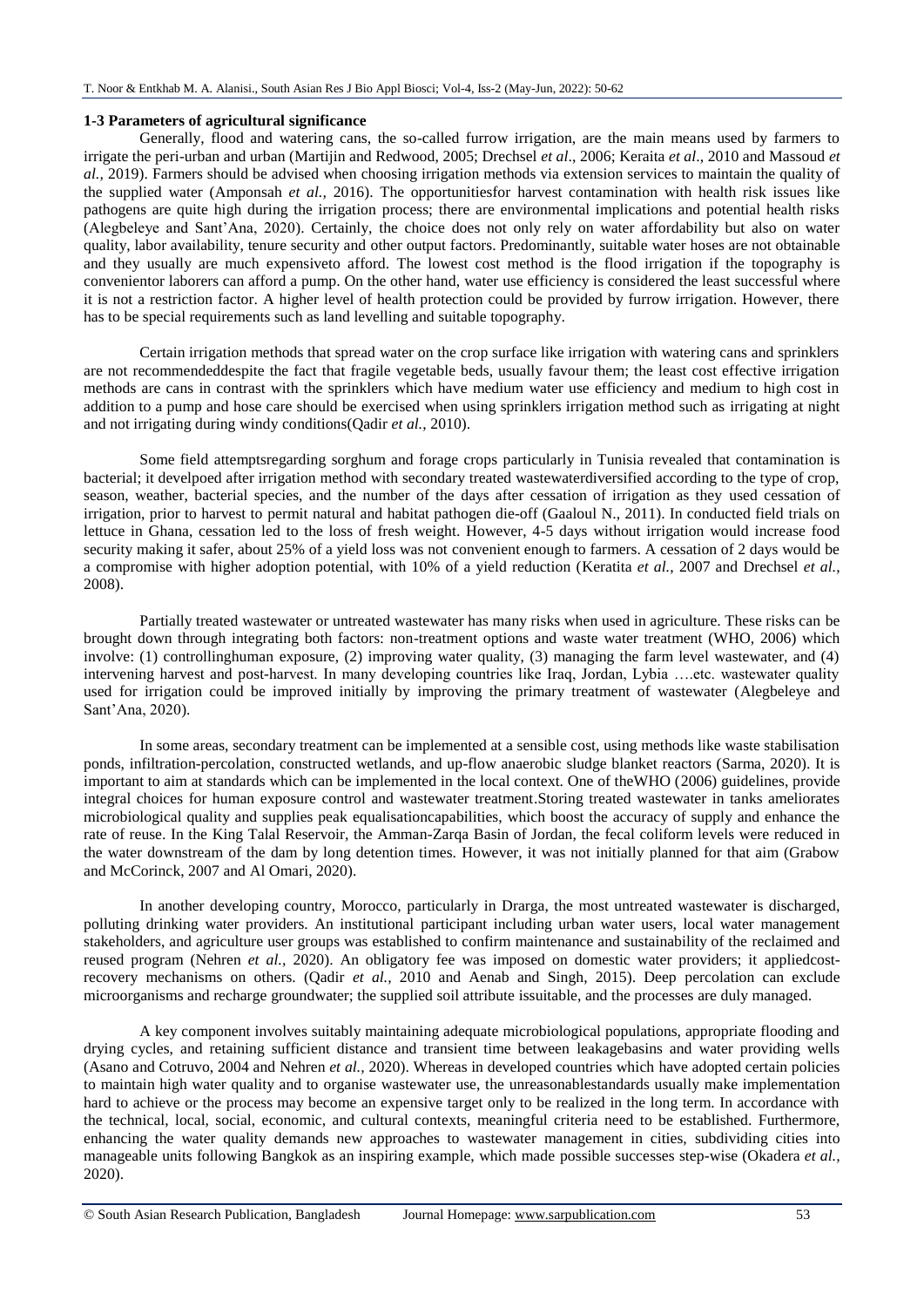### **1-3 Parameters of agricultural significance**

Generally, flood and watering cans, the so-called furrow irrigation, are the main means used by farmers to irrigate the peri-urban and urban (Martijin and Redwood, 2005; Drechsel *et al*., 2006; Keraita *et al*., 2010 and Massoud *et al.,* 2019). Farmers should be advised when choosing irrigation methods via extension services to maintain the quality of the supplied water (Amponsah *et al.,* 2016). The opportunitiesfor harvest contamination with health risk issues like pathogens are quite high during the irrigation process; there are environmental implications and potential health risks (Alegbeleye and Sant'Ana, 2020). Certainly, the choice does not only rely on water affordability but also on water quality, labor availability, tenure security and other output factors. Predominantly, suitable water hoses are not obtainable and they usually are much expensiveto afford. The lowest cost method is the flood irrigation if the topography is convenientor laborers can afford a pump. On the other hand, water use efficiency is considered the least successful where it is not a restriction factor. A higher level of health protection could be provided by furrow irrigation. However, there has to be special requirements such as land levelling and suitable topography.

Certain irrigation methods that spread water on the crop surface like irrigation with watering cans and sprinklers are not recommendeddespite the fact that fragile vegetable beds, usually favour them; the least cost effective irrigation methods are cans in contrast with the sprinklers which have medium water use efficiency and medium to high cost in addition to a pump and hose care should be exercised when using sprinklers irrigation method such as irrigating at night and not irrigating during windy conditions(Qadir *et al.*, 2010).

Some field attemptsregarding sorghum and forage crops particularly in Tunisia revealed that contamination is bacterial; it develpoed after irrigation method with secondary treated wastewaterdiversified according to the type of crop, season, weather, bacterial species, and the number of the days after cessation of irrigation as they used cessation of irrigation, prior to harvest to permit natural and habitat pathogen die-off (Gaaloul N., 2011). In conducted field trials on lettuce in Ghana, cessation led to the loss of fresh weight. However, 4-5 days without irrigation would increase food security making it safer, about 25% of a yield loss was not convenient enough to farmers. A cessation of 2 days would be a compromise with higher adoption potential, with 10% of a yield reduction (Keratita *et al.*, 2007 and Drechsel *et al.*, 2008).

Partially treated wastewater or untreated wastewater has many risks when used in agriculture. These risks can be brought down through integrating both factors: non-treatment options and waste water treatment (WHO, 2006) which involve: (1) controllinghuman exposure, (2) improving water quality, (3) managing the farm level wastewater, and (4) intervening harvest and post-harvest. In many developing countries like Iraq, Jordan, Lybia ….etc. wastewater quality used for irrigation could be improved initially by improving the primary treatment of wastewater (Alegbeleye and Sant'Ana, 2020).

In some areas, secondary treatment can be implemented at a sensible cost, using methods like waste stabilisation ponds, infiltration-percolation, constructed wetlands, and up-flow anaerobic sludge blanket reactors (Sarma, 2020). It is important to aim at standards which can be implemented in the local context. One of theWHO (2006) guidelines, provide integral choices for human exposure control and wastewater treatment.Storing treated wastewater in tanks ameliorates microbiological quality and supplies peak equalisationcapabilities, which boost the accuracy of supply and enhance the rate of reuse. In the King Talal Reservoir, the Amman-Zarqa Basin of Jordan, the fecal coliform levels were reduced in the water downstream of the dam by long detention times. However, it was not initially planned for that aim (Grabow and McCorinck, 2007 and Al Omari, 2020).

In another developing country, Morocco, particularly in Drarga, the most untreated wastewater is discharged, polluting drinking water providers. An institutional participant including urban water users, local water management stakeholders, and agriculture user groups was established to confirm maintenance and sustainability of the reclaimed and reused program (Nehren *et al.,* 2020). An obligatory fee was imposed on domestic water providers; it appliedcostrecovery mechanisms on others. (Qadir *et al.,* 2010 and Aenab and Singh, 2015). Deep percolation can exclude microorganisms and recharge groundwater; the supplied soil attribute issuitable, and the processes are duly managed.

A key component involves suitably maintaining adequate microbiological populations, appropriate flooding and drying cycles, and retaining sufficient distance and transient time between leakagebasins and water providing wells (Asano and Cotruvo, 2004 and Nehren *et al.,* 2020). Whereas in developed countries which have adopted certain policies to maintain high water quality and to organise wastewater use, the unreasonablestandards usually make implementation hard to achieve or the process may become an expensive target only to be realized in the long term. In accordance with the technical, local, social, economic, and cultural contexts, meaningful criteria need to be established. Furthermore, enhancing the water quality demands new approaches to wastewater management in cities, subdividing cities into manageable units following Bangkok as an inspiring example, which made possible successes step-wise (Okadera *et al.,*  2020).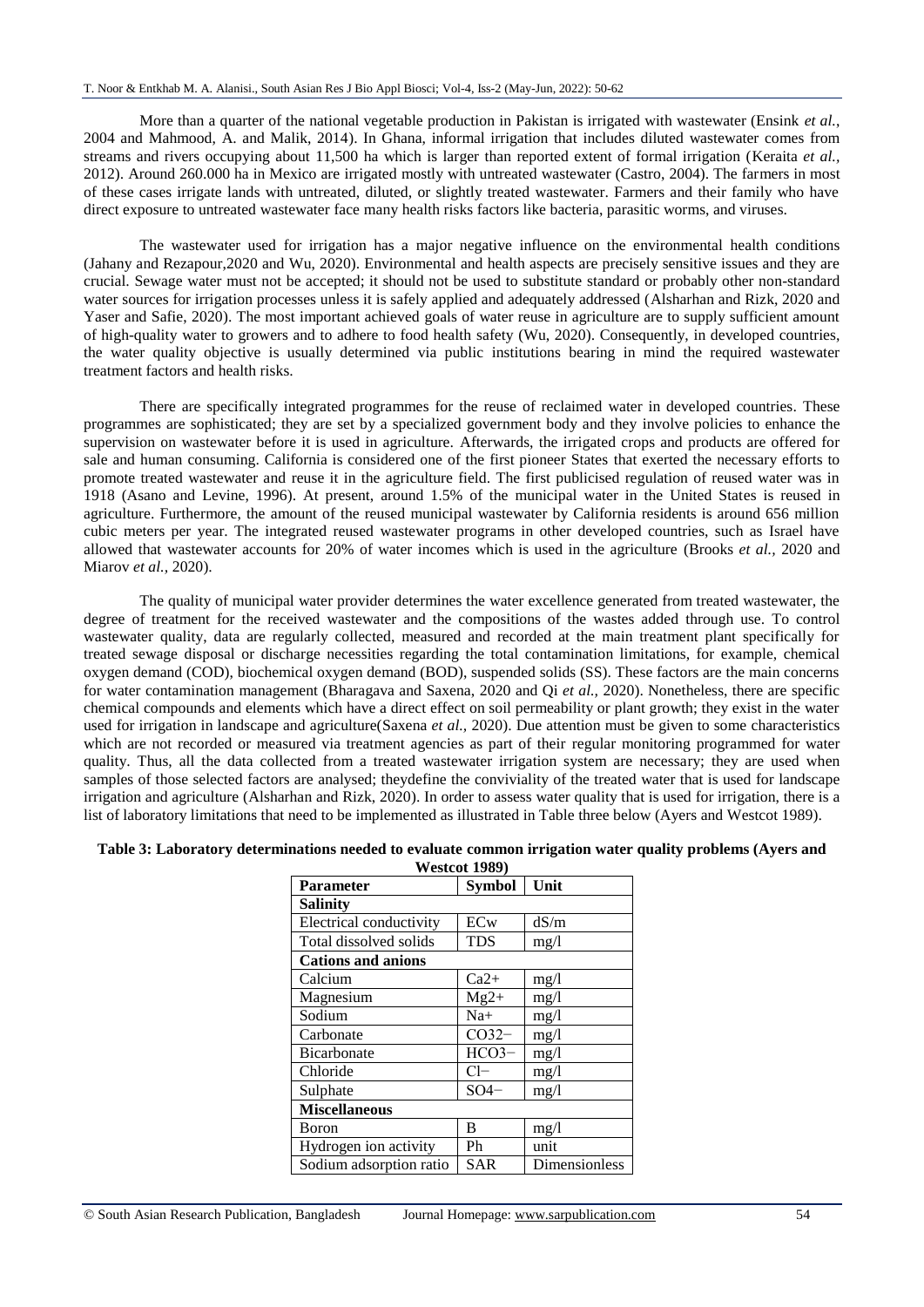More than a quarter of the national vegetable production in Pakistan is irrigated with wastewater (Ensink *et al.*, 2004 and Mahmood, A. and Malik, 2014). In Ghana, informal irrigation that includes diluted wastewater comes from streams and rivers occupying about 11,500 ha which is larger than reported extent of formal irrigation (Keraita *et al.,*  2012). Around 260.000 ha in Mexico are irrigated mostly with untreated wastewater (Castro, 2004). The farmers in most of these cases irrigate lands with untreated, diluted, or slightly treated wastewater. Farmers and their family who have direct exposure to untreated wastewater face many health risks factors like bacteria, parasitic worms, and viruses.

The wastewater used for irrigation has a major negative influence on the environmental health conditions (Jahany and Rezapour,2020 and Wu, 2020). Environmental and health aspects are precisely sensitive issues and they are crucial. Sewage water must not be accepted; it should not be used to substitute standard or probably other non-standard water sources for irrigation processes unless it is safely applied and adequately addressed (Alsharhan and Rizk, 2020 and Yaser and Safie, 2020). The most important achieved goals of water reuse in agriculture are to supply sufficient amount of high-quality water to growers and to adhere to food health safety (Wu, 2020). Consequently, in developed countries, the water quality objective is usually determined via public institutions bearing in mind the required wastewater treatment factors and health risks.

There are specifically integrated programmes for the reuse of reclaimed water in developed countries. These programmes are sophisticated; they are set by a specialized government body and they involve policies to enhance the supervision on wastewater before it is used in agriculture. Afterwards, the irrigated crops and products are offered for sale and human consuming. California is considered one of the first pioneer States that exerted the necessary efforts to promote treated wastewater and reuse it in the agriculture field. The first publicised regulation of reused water was in 1918 (Asano and Levine, 1996). At present, around 1.5% of the municipal water in the United States is reused in agriculture. Furthermore, the amount of the reused municipal wastewater by California residents is around 656 million cubic meters per year. The integrated reused wastewater programs in other developed countries, such as Israel have allowed that wastewater accounts for 20% of water incomes which is used in the agriculture (Brooks *et al.,* 2020 and Miarov *et al.,* 2020).

The quality of municipal water provider determines the water excellence generated from treated wastewater, the degree of treatment for the received wastewater and the compositions of the wastes added through use. To control wastewater quality, data are regularly collected, measured and recorded at the main treatment plant specifically for treated sewage disposal or discharge necessities regarding the total contamination limitations, for example, chemical oxygen demand (COD), biochemical oxygen demand (BOD), suspended solids (SS). These factors are the main concerns for water contamination management (Bharagava and Saxena, 2020 and Qi *et al.,* 2020). Nonetheless, there are specific chemical compounds and elements which have a direct effect on soil permeability or plant growth; they exist in the water used for irrigation in landscape and agriculture(Saxena *et al.,* 2020). Due attention must be given to some characteristics which are not recorded or measured via treatment agencies as part of their regular monitoring programmed for water quality. Thus, all the data collected from a treated wastewater irrigation system are necessary; they are used when samples of those selected factors are analysed; theydefine the conviviality of the treated water that is used for landscape irrigation and agriculture (Alsharhan and Rizk, 2020). In order to assess water quality that is used for irrigation, there is a list of laboratory limitations that need to be implemented as illustrated in Table three below (Ayers and Westcot 1989).

| Westcol 1989)             |               |               |  |  |
|---------------------------|---------------|---------------|--|--|
| Parameter                 | <b>Symbol</b> | Unit          |  |  |
| Salinity                  |               |               |  |  |
| Electrical conductivity   | ECw           | dS/m          |  |  |
| Total dissolved solids    | <b>TDS</b>    | mg/1          |  |  |
| <b>Cations and anions</b> |               |               |  |  |
| Calcium                   | $Ca2+$        | mg/1          |  |  |
| Magnesium                 | $Mg2+$        | mg/1          |  |  |
| Sodium                    | $Na+$         | mg/1          |  |  |
| Carbonate                 | $CO32-$       | mg/1          |  |  |
| <b>Bicarbonate</b>        | $HCO3-$       | mg/1          |  |  |
| Chloride                  | $Cl-$         | mg/1          |  |  |
| Sulphate                  | $SO4-$        | mg/1          |  |  |
| <b>Miscellaneous</b>      |               |               |  |  |
| Boron                     | В             | mg/1          |  |  |
| Hydrogen ion activity     | Ph            | unit          |  |  |
| Sodium adsorption ratio   | <b>SAR</b>    | Dimensionless |  |  |

#### **Table 3: Laboratory determinations needed to evaluate common irrigation water quality problems (Ayers and Westcot 1989)**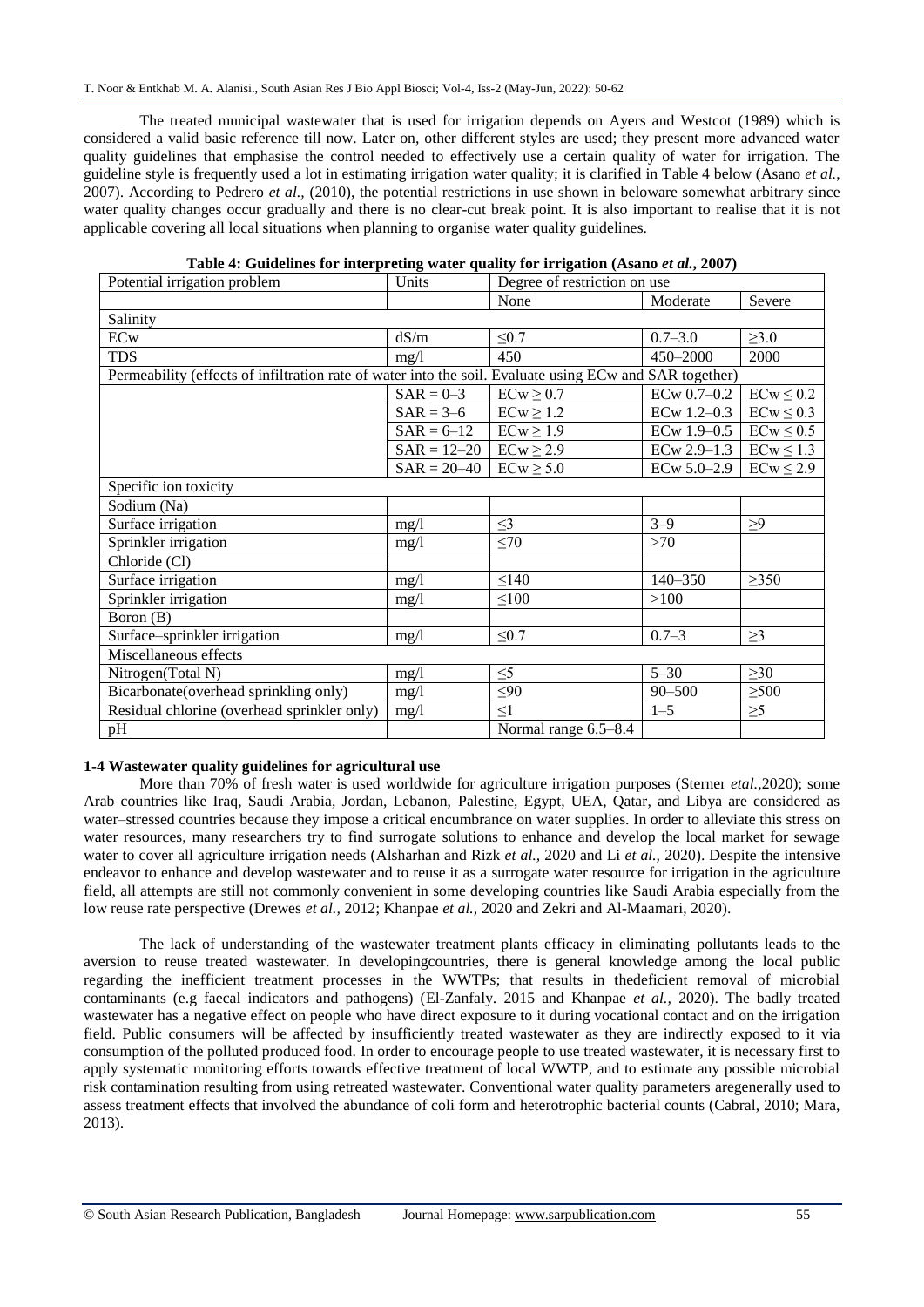The treated municipal wastewater that is used for irrigation depends on Ayers and Westcot (1989) which is considered a valid basic reference till now. Later on, other different styles are used; they present more advanced water quality guidelines that emphasise the control needed to effectively use a certain quality of water for irrigation. The guideline style is frequently used a lot in estimating irrigation water quality; it is clarified in Table 4 below (Asano *et al.*, 2007). According to Pedrero *et al.,* (2010), the potential restrictions in use shown in beloware somewhat arbitrary since water quality changes occur gradually and there is no clear-cut break point. It is also important to realise that it is not applicable covering all local situations when planning to organise water quality guidelines.

| Potential irrigation problem                                                                            | Units<br>Degree of restriction on use |                      |                 |                |  |  |
|---------------------------------------------------------------------------------------------------------|---------------------------------------|----------------------|-----------------|----------------|--|--|
|                                                                                                         |                                       | None                 | Moderate        | Severe         |  |  |
| Salinity                                                                                                |                                       |                      |                 |                |  |  |
| <b>ECw</b>                                                                                              | dS/m                                  | $\leq 0.7$           | $0.7 - 3.0$     | $\geq 3.0$     |  |  |
| <b>TDS</b>                                                                                              | mg/1                                  | 450                  | 450-2000        | 2000           |  |  |
| Permeability (effects of infiltration rate of water into the soil. Evaluate using ECw and SAR together) |                                       |                      |                 |                |  |  |
|                                                                                                         | $SAR = 0-3$                           | $ECw \geq 0.7$       | $ECw$ 0.7-0.2   | $ECw \leq 0.2$ |  |  |
|                                                                                                         | $SAR = 3-6$                           | $ECw \geq 1.2$       | ECw 1.2-0.3     | $ECw \leq 0.3$ |  |  |
|                                                                                                         | $SAR = 6 - 12$                        | $ECw \geq 1.9$       | ECw 1.9-0.5     | $ECw \leq 0.5$ |  |  |
|                                                                                                         | $SAR = 12 - 20$                       | $ECw \geq 2.9$       | ECw 2.9-1.3     | $ECw \leq 1.3$ |  |  |
|                                                                                                         | $SAR = 20 - 40$                       | $ECw \geq 5.0$       | $ECw 5.0 - 2.9$ | $ECw \leq 2.9$ |  |  |
| Specific ion toxicity                                                                                   |                                       |                      |                 |                |  |  |
| Sodium (Na)                                                                                             |                                       |                      |                 |                |  |  |
| Surface irrigation                                                                                      | mg/1                                  | $\leq$ 3             | $3 - 9$         | $\geq$ 9       |  |  |
| Sprinkler irrigation                                                                                    | mg/l                                  | $\leq 70$            | >70             |                |  |  |
| Chloride (Cl)                                                                                           |                                       |                      |                 |                |  |  |
| Surface irrigation                                                                                      | mg/1                                  | $\leq$ 140           | 140-350         | $\geq 350$     |  |  |
| Sprinkler irrigation                                                                                    | mg/l                                  | $\leq 100$           | >100            |                |  |  |
| Boron (B)                                                                                               |                                       |                      |                 |                |  |  |
| Surface-sprinkler irrigation                                                                            | mg/1                                  | $\leq0.7$            | $0.7 - 3$       | $\geq$ 3       |  |  |
| Miscellaneous effects                                                                                   |                                       |                      |                 |                |  |  |
| Nitrogen(Total N)                                                                                       | mg/1                                  | $\leq 5$             | $5 - 30$        | $\geq 30$      |  |  |
| Bicarbonate (overhead sprinkling only)                                                                  | mg/l                                  | $\leq 90$            | $90 - 500$      | $\geq 500$     |  |  |
| Residual chlorine (overhead sprinkler only)                                                             | mg/1                                  | $\leq1$              | $1 - 5$         | $\geq 5$       |  |  |
| pH                                                                                                      |                                       | Normal range 6.5-8.4 |                 |                |  |  |

### **1-4 Wastewater quality guidelines for agricultural use**

More than 70% of fresh water is used worldwide for agriculture irrigation purposes (Sterner *etal.,*2020); some Arab countries like Iraq, Saudi Arabia, Jordan, Lebanon, Palestine, Egypt, UEA, Qatar, and Libya are considered as water–stressed countries because they impose a critical encumbrance on water supplies. In order to alleviate this stress on water resources, many researchers try to find surrogate solutions to enhance and develop the local market for sewage water to cover all agriculture irrigation needs (Alsharhan and Rizk *et al.,* 2020 and Li *et al.,* 2020). Despite the intensive endeavor to enhance and develop wastewater and to reuse it as a surrogate water resource for irrigation in the agriculture field, all attempts are still not commonly convenient in some developing countries like Saudi Arabia especially from the low reuse rate perspective (Drewes *et al.,* 2012; Khanpae *et al.,* 2020 and Zekri and Al-Maamari, 2020).

The lack of understanding of the wastewater treatment plants efficacy in eliminating pollutants leads to the aversion to reuse treated wastewater. In developingcountries, there is general knowledge among the local public regarding the inefficient treatment processes in the WWTPs; that results in thedeficient removal of microbial contaminants (e.g faecal indicators and pathogens) (El-Zanfaly. 2015 and Khanpae *et al.,* 2020). The badly treated wastewater has a negative effect on people who have direct exposure to it during vocational contact and on the irrigation field. Public consumers will be affected by insufficiently treated wastewater as they are indirectly exposed to it via consumption of the polluted produced food. In order to encourage people to use treated wastewater, it is necessary first to apply systematic monitoring efforts towards effective treatment of local WWTP, and to estimate any possible microbial risk contamination resulting from using retreated wastewater. Conventional water quality parameters aregenerally used to assess treatment effects that involved the abundance of coli form and heterotrophic bacterial counts (Cabral, 2010; Mara, 2013).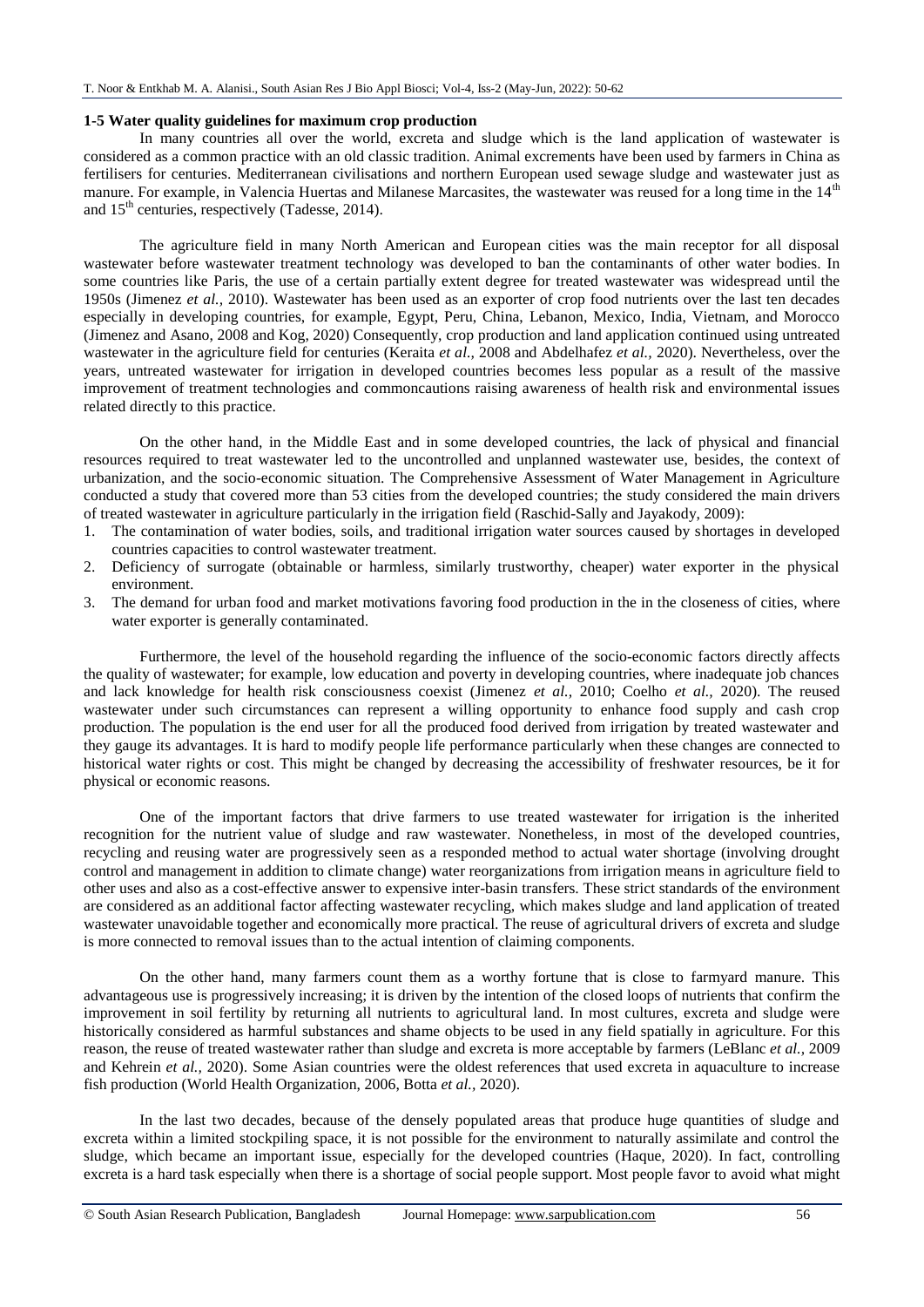#### **1-5 Water quality guidelines for maximum crop production**

In many countries all over the world, excreta and sludge which is the land application of wastewater is considered as a common practice with an old classic tradition. Animal excrements have been used by farmers in China as fertilisers for centuries. Mediterranean civilisations and northern European used sewage sludge and wastewater just as manure. For example, in Valencia Huertas and Milanese Marcasites, the wastewater was reused for a long time in the  $14<sup>th</sup>$ and  $15<sup>th</sup>$  centuries, respectively (Tadesse, 2014).

The agriculture field in many North American and European cities was the main receptor for all disposal wastewater before wastewater treatment technology was developed to ban the contaminants of other water bodies. In some countries like Paris, the use of a certain partially extent degree for treated wastewater was widespread until the 1950s (Jimenez *et al.,* 2010). Wastewater has been used as an exporter of crop food nutrients over the last ten decades especially in developing countries, for example, Egypt, Peru, China, Lebanon, Mexico, India, Vietnam, and Morocco (Jimenez and Asano, 2008 and Kog, 2020) Consequently, crop production and land application continued using untreated wastewater in the agriculture field for centuries (Keraita *et al.,* 2008 and Abdelhafez *et al.,* 2020). Nevertheless, over the years, untreated wastewater for irrigation in developed countries becomes less popular as a result of the massive improvement of treatment technologies and commoncautions raising awareness of health risk and environmental issues related directly to this practice.

On the other hand, in the Middle East and in some developed countries, the lack of physical and financial resources required to treat wastewater led to the uncontrolled and unplanned wastewater use, besides, the context of urbanization, and the socio-economic situation. The Comprehensive Assessment of Water Management in Agriculture conducted a study that covered more than 53 cities from the developed countries; the study considered the main drivers of treated wastewater in agriculture particularly in the irrigation field (Raschid-Sally and Jayakody, 2009):

- 1. The contamination of water bodies, soils, and traditional irrigation water sources caused by shortages in developed countries capacities to control wastewater treatment.
- 2. Deficiency of surrogate (obtainable or harmless, similarly trustworthy, cheaper) water exporter in the physical environment.
- 3. The demand for urban food and market motivations favoring food production in the in the closeness of cities, where water exporter is generally contaminated.

Furthermore, the level of the household regarding the influence of the socio-economic factors directly affects the quality of wastewater; for example, low education and poverty in developing countries, where inadequate job chances and lack knowledge for health risk consciousness coexist (Jimenez *et al.,* 2010; Coelho *et al.,* 2020). The reused wastewater under such circumstances can represent a willing opportunity to enhance food supply and cash crop production. The population is the end user for all the produced food derived from irrigation by treated wastewater and they gauge its advantages. It is hard to modify people life performance particularly when these changes are connected to historical water rights or cost. This might be changed by decreasing the accessibility of freshwater resources, be it for physical or economic reasons.

One of the important factors that drive farmers to use treated wastewater for irrigation is the inherited recognition for the nutrient value of sludge and raw wastewater. Nonetheless, in most of the developed countries, recycling and reusing water are progressively seen as a responded method to actual water shortage (involving drought control and management in addition to climate change) water reorganizations from irrigation means in agriculture field to other uses and also as a cost-effective answer to expensive inter-basin transfers. These strict standards of the environment are considered as an additional factor affecting wastewater recycling, which makes sludge and land application of treated wastewater unavoidable together and economically more practical. The reuse of agricultural drivers of excreta and sludge is more connected to removal issues than to the actual intention of claiming components.

On the other hand, many farmers count them as a worthy fortune that is close to farmyard manure. This advantageous use is progressively increasing; it is driven by the intention of the closed loops of nutrients that confirm the improvement in soil fertility by returning all nutrients to agricultural land. In most cultures, excreta and sludge were historically considered as harmful substances and shame objects to be used in any field spatially in agriculture. For this reason, the reuse of treated wastewater rather than sludge and excreta is more acceptable by farmers (LeBlanc *et al.,* 2009 and Kehrein *et al.,* 2020). Some Asian countries were the oldest references that used excreta in aquaculture to increase fish production (World Health Organization, 2006, Botta *et al.,* 2020).

In the last two decades, because of the densely populated areas that produce huge quantities of sludge and excreta within a limited stockpiling space, it is not possible for the environment to naturally assimilate and control the sludge, which became an important issue, especially for the developed countries (Haque, 2020). In fact, controlling excreta is a hard task especially when there is a shortage of social people support. Most people favor to avoid what might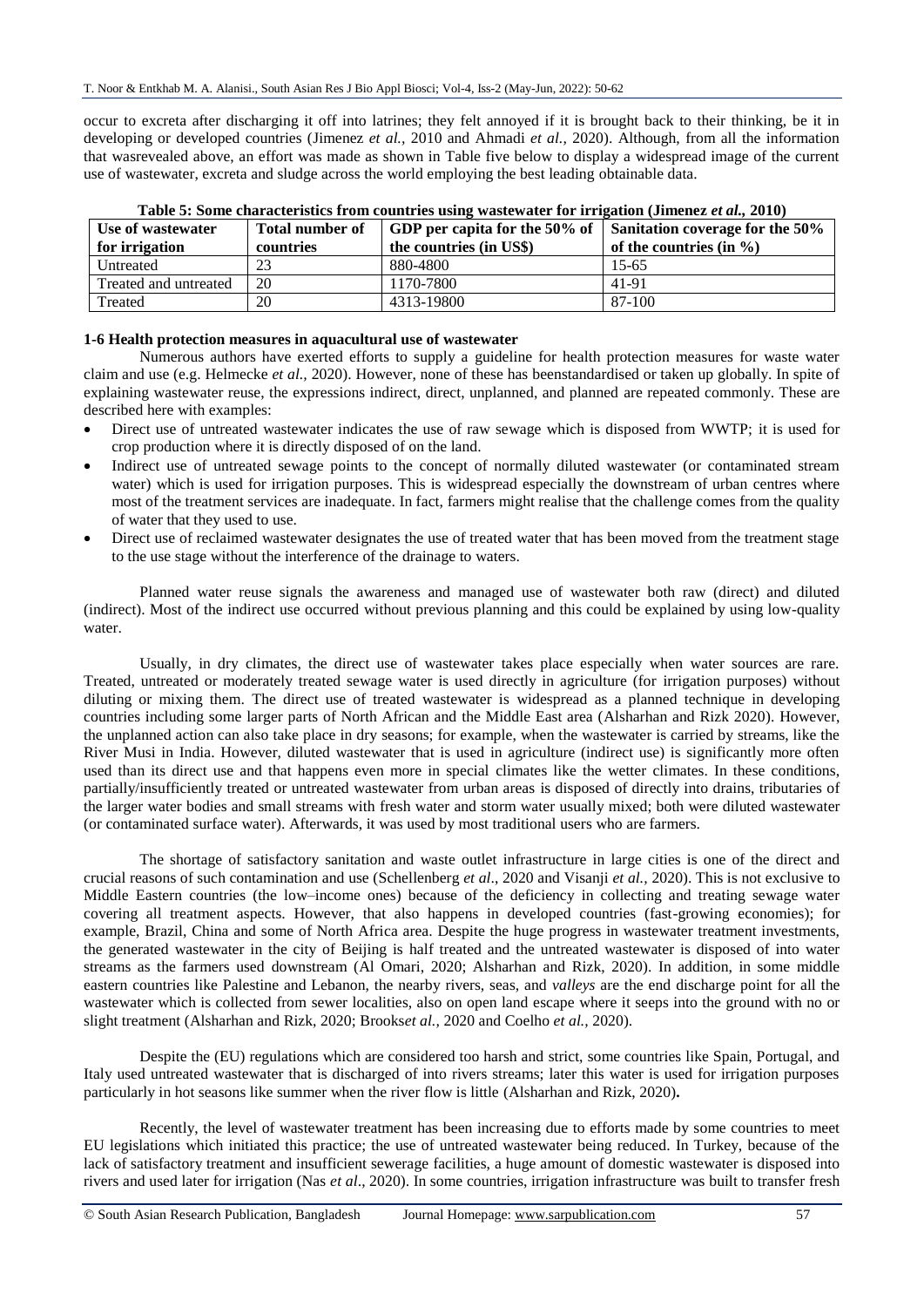occur to excreta after discharging it off into latrines; they felt annoyed if it is brought back to their thinking, be it in developing or developed countries (Jimenez *et al.,* 2010 and Ahmadi *et al.,* 2020). Although, from all the information that wasrevealed above, an effort was made as shown in Table five below to display a widespread image of the current use of wastewater, excreta and sludge across the world employing the best leading obtainable data.

| Use of wastewater     | <b>Total number of</b> | GDP per capita for the 50% of $\parallel$ | Sanitation coverage for the 50% |  |
|-----------------------|------------------------|-------------------------------------------|---------------------------------|--|
| for irrigation        | countries              | the countries (in US\$)                   | of the countries (in $\%$ )     |  |
| Untreated             | 23                     | 880-4800                                  | $15 - 65$                       |  |
| Treated and untreated | 20                     | 1170-7800                                 | 41-91                           |  |
| Treated               | 20                     | 4313-19800                                | 87-100                          |  |

**Table 5: Some characteristics from countries using wastewater for irrigation (Jimenez** *et al.,* **2010)**

### **1-6 Health protection measures in aquacultural use of wastewater**

Numerous authors have exerted efforts to supply a guideline for health protection measures for waste water claim and use (e.g. Helmecke *et al.,* 2020). However, none of these has beenstandardised or taken up globally. In spite of explaining wastewater reuse, the expressions indirect, direct, unplanned, and planned are repeated commonly. These are described here with examples:

- Direct use of untreated wastewater indicates the use of raw sewage which is disposed from WWTP; it is used for crop production where it is directly disposed of on the land.
- Indirect use of untreated sewage points to the concept of normally diluted wastewater (or contaminated stream water) which is used for irrigation purposes. This is widespread especially the downstream of urban centres where most of the treatment services are inadequate. In fact, farmers might realise that the challenge comes from the quality of water that they used to use.
- Direct use of reclaimed wastewater designates the use of treated water that has been moved from the treatment stage to the use stage without the interference of the drainage to waters.

Planned water reuse signals the awareness and managed use of wastewater both raw (direct) and diluted (indirect). Most of the indirect use occurred without previous planning and this could be explained by using low-quality water.

Usually, in dry climates, the direct use of wastewater takes place especially when water sources are rare. Treated, untreated or moderately treated sewage water is used directly in agriculture (for irrigation purposes) without diluting or mixing them. The direct use of treated wastewater is widespread as a planned technique in developing countries including some larger parts of North African and the Middle East area (Alsharhan and Rizk 2020). However, the unplanned action can also take place in dry seasons; for example, when the wastewater is carried by streams, like the River Musi in India. However, diluted wastewater that is used in agriculture (indirect use) is significantly more often used than its direct use and that happens even more in special climates like the wetter climates. In these conditions, partially/insufficiently treated or untreated wastewater from urban areas is disposed of directly into drains, tributaries of the larger water bodies and small streams with fresh water and storm water usually mixed; both were diluted wastewater (or contaminated surface water). Afterwards, it was used by most traditional users who are farmers.

The shortage of satisfactory sanitation and waste outlet infrastructure in large cities is one of the direct and crucial reasons of such contamination and use (Schellenberg *et al*., 2020 and Visanji *et al.,* 2020). This is not exclusive to Middle Eastern countries (the low–income ones) because of the deficiency in collecting and treating sewage water covering all treatment aspects. However, that also happens in developed countries (fast-growing economies); for example, Brazil, China and some of North Africa area. Despite the huge progress in wastewater treatment investments, the generated wastewater in the city of Beijing is half treated and the untreated wastewater is disposed of into water streams as the farmers used downstream (Al Omari, 2020; Alsharhan and Rizk, 2020). In addition, in some middle eastern countries like Palestine and Lebanon, the nearby rivers, seas, and *valleys* are the end discharge point for all the wastewater which is collected from sewer localities, also on open land escape where it seeps into the ground with no or slight treatment (Alsharhan and Rizk, 2020; Brooks*et al.,* 2020 and Coelho *et al.,* 2020).

Despite the (EU) regulations which are considered too harsh and strict, some countries like Spain, Portugal, and Italy used untreated wastewater that is discharged of into rivers streams; later this water is used for irrigation purposes particularly in hot seasons like summer when the river flow is little (Alsharhan and Rizk, 2020)**.** 

Recently, the level of wastewater treatment has been increasing due to efforts made by some countries to meet EU legislations which initiated this practice; the use of untreated wastewater being reduced. In Turkey, because of the lack of satisfactory treatment and insufficient sewerage facilities, a huge amount of domestic wastewater is disposed into rivers and used later for irrigation (Nas *et al*., 2020). In some countries, irrigation infrastructure was built to transfer fresh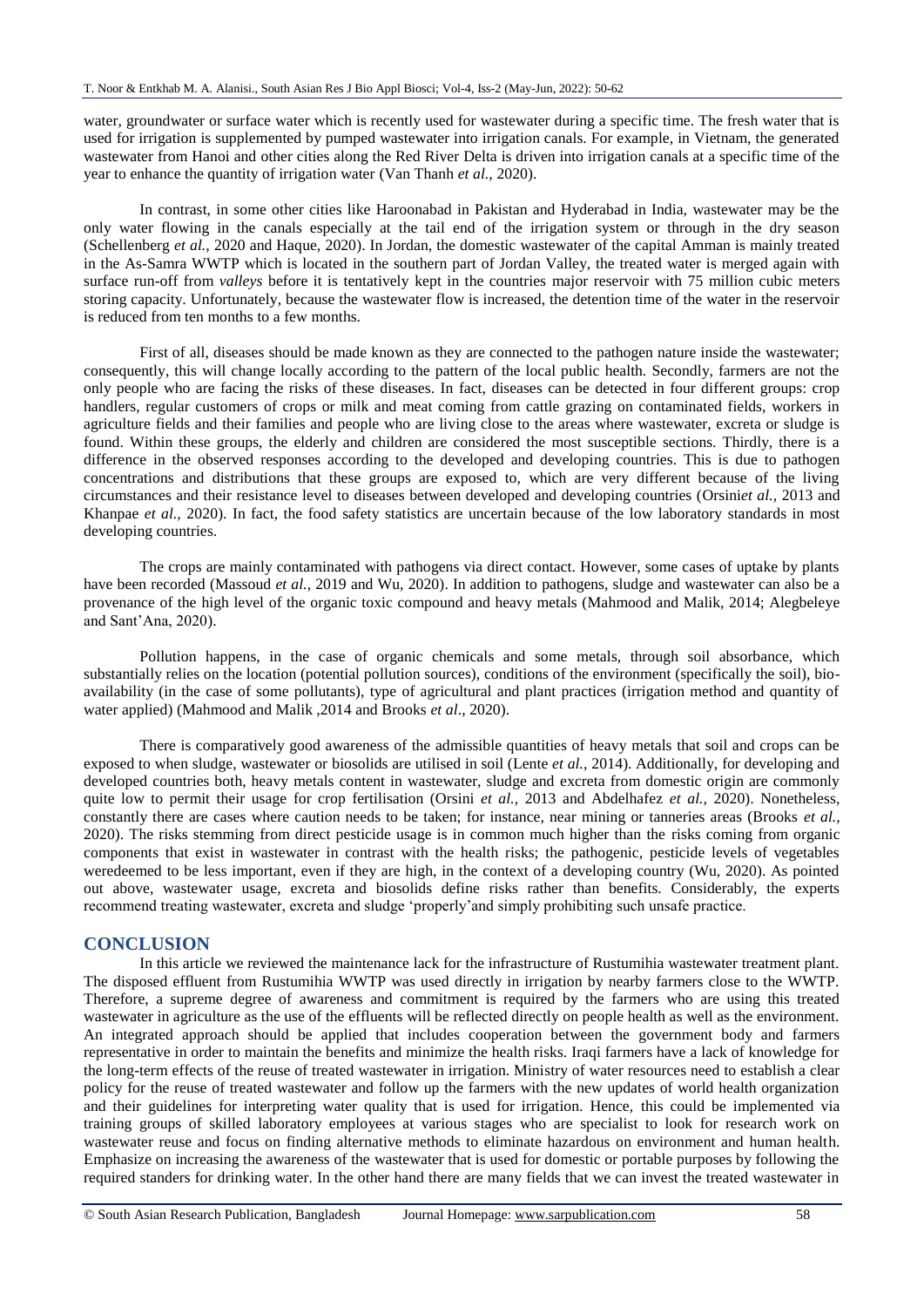water, groundwater or surface water which is recently used for wastewater during a specific time. The fresh water that is used for irrigation is supplemented by pumped wastewater into irrigation canals. For example, in Vietnam, the generated wastewater from Hanoi and other cities along the Red River Delta is driven into irrigation canals at a specific time of the year to enhance the quantity of irrigation water (Van Thanh *et al.,* 2020).

In contrast, in some other cities like Haroonabad in Pakistan and Hyderabad in India, wastewater may be the only water flowing in the canals especially at the tail end of the irrigation system or through in the dry season (Schellenberg *et al.,* 2020 and Haque, 2020). In Jordan, the domestic wastewater of the capital Amman is mainly treated in the As-Samra WWTP which is located in the southern part of Jordan Valley, the treated water is merged again with surface run-off from *valleys* before it is tentatively kept in the countries major reservoir with 75 million cubic meters storing capacity. Unfortunately, because the wastewater flow is increased, the detention time of the water in the reservoir is reduced from ten months to a few months.

First of all, diseases should be made known as they are connected to the pathogen nature inside the wastewater; consequently, this will change locally according to the pattern of the local public health. Secondly, farmers are not the only people who are facing the risks of these diseases. In fact, diseases can be detected in four different groups: crop handlers, regular customers of crops or milk and meat coming from cattle grazing on contaminated fields, workers in agriculture fields and their families and people who are living close to the areas where wastewater, excreta or sludge is found. Within these groups, the elderly and children are considered the most susceptible sections. Thirdly, there is a difference in the observed responses according to the developed and developing countries. This is due to pathogen concentrations and distributions that these groups are exposed to, which are very different because of the living circumstances and their resistance level to diseases between developed and developing countries (Orsini*et al.,* 2013 and Khanpae *et al.,* 2020). In fact, the food safety statistics are uncertain because of the low laboratory standards in most developing countries.

The crops are mainly contaminated with pathogens via direct contact. However, some cases of uptake by plants have been recorded (Massoud *et al.*, 2019 and Wu, 2020). In addition to pathogens, sludge and wastewater can also be a provenance of the high level of the organic toxic compound and heavy metals (Mahmood and Malik, 2014; Alegbeleye and Sant'Ana, 2020).

Pollution happens, in the case of organic chemicals and some metals, through soil absorbance, which substantially relies on the location (potential pollution sources), conditions of the environment (specifically the soil), bioavailability (in the case of some pollutants), type of agricultural and plant practices (irrigation method and quantity of water applied) (Mahmood and Malik ,2014 and Brooks *et al*., 2020).

There is comparatively good awareness of the admissible quantities of heavy metals that soil and crops can be exposed to when sludge, wastewater or biosolids are utilised in soil (Lente *et al.,* 2014). Additionally, for developing and developed countries both, heavy metals content in wastewater, sludge and excreta from domestic origin are commonly quite low to permit their usage for crop fertilisation (Orsini *et al.,* 2013 and Abdelhafez *et al.,* 2020). Nonetheless, constantly there are cases where caution needs to be taken; for instance, near mining or tanneries areas (Brooks *et al.,*  2020). The risks stemming from direct pesticide usage is in common much higher than the risks coming from organic components that exist in wastewater in contrast with the health risks; the pathogenic, pesticide levels of vegetables weredeemed to be less important, even if they are high, in the context of a developing country (Wu, 2020). As pointed out above, wastewater usage, excreta and biosolids define risks rather than benefits. Considerably, the experts recommend treating wastewater, excreta and sludge 'properly'and simply prohibiting such unsafe practice.

## **CONCLUSION**

In this article we reviewed the maintenance lack for the infrastructure of Rustumihia wastewater treatment plant. The disposed effluent from Rustumihia WWTP was used directly in irrigation by nearby farmers close to the WWTP. Therefore, a supreme degree of awareness and commitment is required by the farmers who are using this treated wastewater in agriculture as the use of the effluents will be reflected directly on people health as well as the environment. An integrated approach should be applied that includes cooperation between the government body and farmers representative in order to maintain the benefits and minimize the health risks. Iraqi farmers have a lack of knowledge for the long-term effects of the reuse of treated wastewater in irrigation. Ministry of water resources need to establish a clear policy for the reuse of treated wastewater and follow up the farmers with the new updates of world health organization and their guidelines for interpreting water quality that is used for irrigation. Hence, this could be implemented via training groups of skilled laboratory employees at various stages who are specialist to look for research work on wastewater reuse and focus on finding alternative methods to eliminate hazardous on environment and human health. Emphasize on increasing the awareness of the wastewater that is used for domestic or portable purposes by following the required standers for drinking water. In the other hand there are many fields that we can invest the treated wastewater in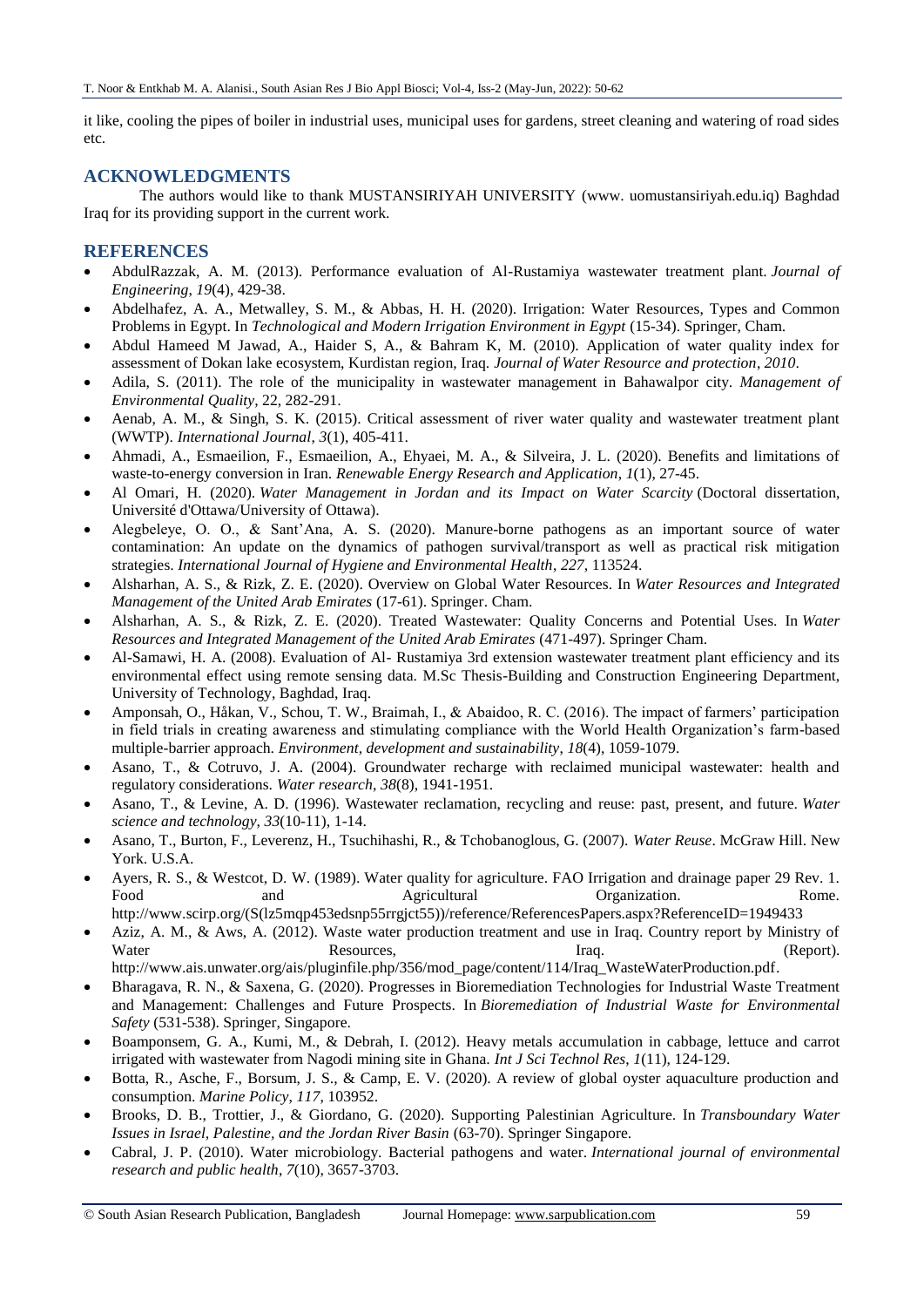it like, cooling the pipes of boiler in industrial uses, municipal uses for gardens, street cleaning and watering of road sides etc.

## **ACKNOWLEDGMENTS**

The authors would like to thank MUSTANSIRIYAH UNIVERSITY (www. uomustansiriyah.edu.iq) Baghdad Iraq for its providing support in the current work.

## **REFERENCES**

- AbdulRazzak, A. M. (2013). Performance evaluation of Al-Rustamiya wastewater treatment plant. *Journal of Engineering*, *19*(4), 429-38.
- Abdelhafez, A. A., Metwalley, S. M., & Abbas, H. H. (2020). Irrigation: Water Resources, Types and Common Problems in Egypt. In *Technological and Modern Irrigation Environment in Egypt* (15-34). Springer, Cham.
- Abdul Hameed M Jawad, A., Haider S, A., & Bahram K, M. (2010). Application of water quality index for assessment of Dokan lake ecosystem, Kurdistan region, Iraq. *Journal of Water Resource and protection*, *2010*.
- Adila, S. (2011). The role of the municipality in wastewater management in Bahawalpor city. *Management of Environmental Quality,* 22, 282-291.
- Aenab, A. M., & Singh, S. K. (2015). Critical assessment of river water quality and wastewater treatment plant (WWTP). *International Journal*, *3*(1), 405-411.
- Ahmadi, A., Esmaeilion, F., Esmaeilion, A., Ehyaei, M. A., & Silveira, J. L. (2020). Benefits and limitations of waste-to-energy conversion in Iran. *Renewable Energy Research and Application*, *1*(1), 27-45.
- Al Omari, H. (2020). *Water Management in Jordan and its Impact on Water Scarcity* (Doctoral dissertation, Université d'Ottawa/University of Ottawa).
- Alegbeleye, O. O., & Sant'Ana, A. S. (2020). Manure-borne pathogens as an important source of water contamination: An update on the dynamics of pathogen survival/transport as well as practical risk mitigation strategies. *International Journal of Hygiene and Environmental Health*, *227*, 113524.
- Alsharhan, A. S., & Rizk, Z. E. (2020). Overview on Global Water Resources. In *Water Resources and Integrated Management of the United Arab Emirates* (17-61). Springer. Cham.
- Alsharhan, A. S., & Rizk, Z. E. (2020). Treated Wastewater: Quality Concerns and Potential Uses. In *Water Resources and Integrated Management of the United Arab Emirates* (471-497). Springer Cham.
- Al-Samawi, H. A. (2008). Evaluation of Al- Rustamiya 3rd extension wastewater treatment plant efficiency and its environmental effect using remote sensing data. M.Sc Thesis-Building and Construction Engineering Department, University of Technology, Baghdad, Iraq.
- Amponsah, O., Håkan, V., Schou, T. W., Braimah, I., & Abaidoo, R. C. (2016). The impact of farmers' participation in field trials in creating awareness and stimulating compliance with the World Health Organization's farm-based multiple-barrier approach. *Environment, development and sustainability*, *18*(4), 1059-1079.
- Asano, T., & Cotruvo, J. A. (2004). Groundwater recharge with reclaimed municipal wastewater: health and regulatory considerations. *Water research*, *38*(8), 1941-1951.
- Asano, T., & Levine, A. D. (1996). Wastewater reclamation, recycling and reuse: past, present, and future. *Water science and technology*, *33*(10-11), 1-14.
- Asano, T., Burton, F., Leverenz, H., Tsuchihashi, R., & Tchobanoglous, G. (2007). *Water Reuse*. McGraw Hill. New York. U.S.A.
- Ayers, R. S., & Westcot, D. W. (1989). Water quality for agriculture. FAO Irrigation and drainage paper 29 Rev. 1. Food and Agricultural Organization. Rome. [http://www.scirp.org/\(S\(lz5mqp453edsnp55rrgjct55\)\)/reference/ReferencesPapers.aspx?ReferenceID=1949433](http://www.scirp.org/(S(lz5mqp453edsnp55rrgjct55))/reference/ReferencesPapers.aspx?ReferenceID=1949433%20)
- Aziz, A. M., & Aws, A. (2012). Waste water production treatment and use in Iraq. Country report by Ministry of Water Resources, Iraq. Iraq. (Report).

[http://www.ais.unwater.org/ais/pluginfile.php/356/mod\\_page/content/114/Iraq\\_WasteWaterProduction.pdf.](http://www.ais.unwater.org/ais/pluginfile.php/356/mod_page/content/114/Iraq_WasteWaterProduction.pdf)

- Bharagava, R. N., & Saxena, G. (2020). Progresses in Bioremediation Technologies for Industrial Waste Treatment and Management: Challenges and Future Prospects. In *Bioremediation of Industrial Waste for Environmental Safety* (531-538). Springer, Singapore.
- Boamponsem, G. A., Kumi, M., & Debrah, I. (2012). Heavy metals accumulation in cabbage, lettuce and carrot irrigated with wastewater from Nagodi mining site in Ghana. *Int J Sci Technol Res*, *1*(11), 124-129.
- Botta, R., Asche, F., Borsum, J. S., & Camp, E. V. (2020). A review of global oyster aquaculture production and consumption. *Marine Policy*, *117*, 103952.
- Brooks, D. B., Trottier, J., & Giordano, G. (2020). Supporting Palestinian Agriculture. In *Transboundary Water Issues in Israel, Palestine, and the Jordan River Basin* (63-70). Springer Singapore.
- Cabral, J. P. (2010). Water microbiology. Bacterial pathogens and water. *International journal of environmental research and public health*, *7*(10), 3657-3703.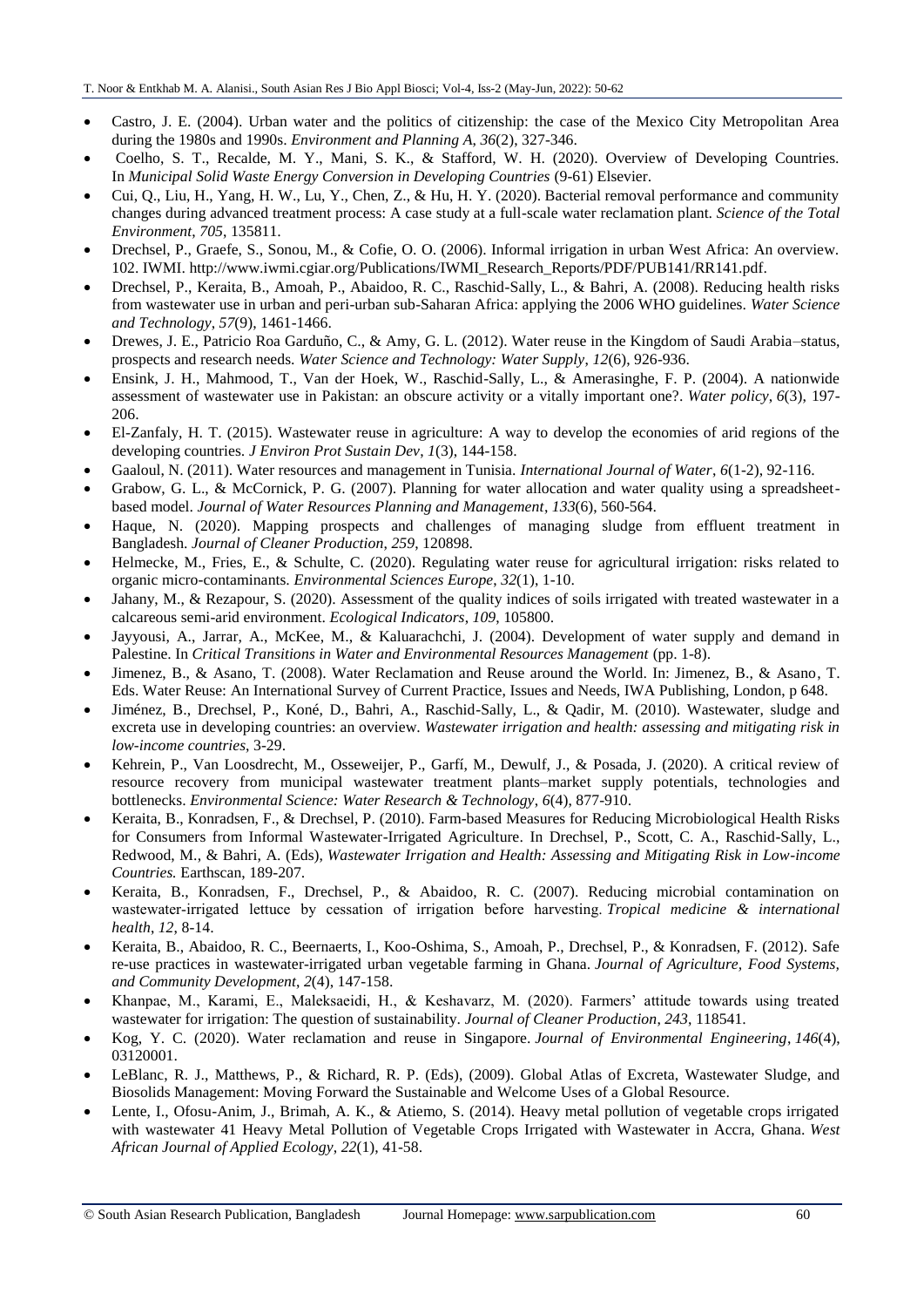- Castro, J. E. (2004). Urban water and the politics of citizenship: the case of the Mexico City Metropolitan Area during the 1980s and 1990s. *Environment and Planning A*, *36*(2), 327-346.
- Coelho, S. T., Recalde, M. Y., Mani, S. K., & Stafford, W. H. (2020). Overview of Developing Countries. In *Municipal Solid Waste Energy Conversion in Developing Countries* (9-61) Elsevier.
- Cui, Q., Liu, H., Yang, H. W., Lu, Y., Chen, Z., & Hu, H. Y. (2020). Bacterial removal performance and community changes during advanced treatment process: A case study at a full-scale water reclamation plant. *Science of the Total Environment*, *705*, 135811.
- Drechsel, P., Graefe, S., Sonou, M., & Cofie, O. O. (2006). Informal irrigation in urban West Africa: An overview. 102. IWMI. [http://www.iwmi.cgiar.org/Publications/IWMI\\_Research\\_Reports/PDF/PUB141/RR141.pdf.](http://www.iwmi.cgiar.org/Publications/IWMI_Research_Reports/PDF/PUB141/RR141.pdf)
- Drechsel, P., Keraita, B., Amoah, P., Abaidoo, R. C., Raschid-Sally, L., & Bahri, A. (2008). Reducing health risks from wastewater use in urban and peri-urban sub-Saharan Africa: applying the 2006 WHO guidelines. *Water Science and Technology*, *57*(9), 1461-1466.
- Drewes, J. E., Patricio Roa Garduño, C., & Amy, G. L. (2012). Water reuse in the Kingdom of Saudi Arabia–status, prospects and research needs. *Water Science and Technology: Water Supply*, *12*(6), 926-936.
- Ensink, J. H., Mahmood, T., Van der Hoek, W., Raschid-Sally, L., & Amerasinghe, F. P. (2004). A nationwide assessment of wastewater use in Pakistan: an obscure activity or a vitally important one?. *Water policy*, *6*(3), 197- 206.
- El-Zanfaly, H. T. (2015). Wastewater reuse in agriculture: A way to develop the economies of arid regions of the developing countries. *J Environ Prot Sustain Dev*, *1*(3), 144-158.
- Gaaloul, N. (2011). Water resources and management in Tunisia. *International Journal of Water*, *6*(1-2), 92-116.
- Grabow, G. L., & McCornick, P. G. (2007). Planning for water allocation and water quality using a spreadsheetbased model. *Journal of Water Resources Planning and Management*, *133*(6), 560-564.
- Haque, N. (2020). Mapping prospects and challenges of managing sludge from effluent treatment in Bangladesh. *Journal of Cleaner Production*, *259*, 120898.
- Helmecke, M., Fries, E., & Schulte, C. (2020). Regulating water reuse for agricultural irrigation: risks related to organic micro-contaminants. *Environmental Sciences Europe*, *32*(1), 1-10.
- Jahany, M., & Rezapour, S. (2020). Assessment of the quality indices of soils irrigated with treated wastewater in a calcareous semi-arid environment. *Ecological Indicators*, *109*, 105800.
- Jayyousi, A., Jarrar, A., McKee, M., & Kaluarachchi, J. (2004). Development of water supply and demand in Palestine. In *Critical Transitions in Water and Environmental Resources Management* (pp. 1-8).
- Jimenez, B., & Asano, T. (2008). Water Reclamation and Reuse around the World. In: Jimenez, B., & Asano, T. Eds. Water Reuse: An International Survey of Current Practice, Issues and Needs, IWA Publishing, London, p 648.
- Jiménez, B., Drechsel, P., Koné, D., Bahri, A., Raschid-Sally, L., & Qadir, M. (2010). Wastewater, sludge and excreta use in developing countries: an overview. *Wastewater irrigation and health: assessing and mitigating risk in low-income countries*, 3-29.
- Kehrein, P., Van Loosdrecht, M., Osseweijer, P., Garfí, M., Dewulf, J., & Posada, J. (2020). A critical review of resource recovery from municipal wastewater treatment plants–market supply potentials, technologies and bottlenecks. *Environmental Science: Water Research & Technology*, *6*(4), 877-910.
- Keraita, B., Konradsen, F., & Drechsel, P. (2010). Farm-based Measures for Reducing Microbiological Health Risks for Consumers from Informal Wastewater-Irrigated Agriculture. In Drechsel, P., Scott, C. A., Raschid-Sally, L., Redwood, M., & Bahri, A. (Eds), *Wastewater Irrigation and Health: Assessing and Mitigating Risk in Low-income Countries.* Earthscan, 189-207.
- Keraita, B., Konradsen, F., Drechsel, P., & Abaidoo, R. C. (2007). Reducing microbial contamination on wastewater‐irrigated lettuce by cessation of irrigation before harvesting. *Tropical medicine & international health*, *12*, 8-14.
- Keraita, B., Abaidoo, R. C., Beernaerts, I., Koo-Oshima, S., Amoah, P., Drechsel, P., & Konradsen, F. (2012). Safe re-use practices in wastewater-irrigated urban vegetable farming in Ghana. *Journal of Agriculture, Food Systems, and Community Development*, *2*(4), 147-158.
- Khanpae, M., Karami, E., Maleksaeidi, H., & Keshavarz, M. (2020). Farmers' attitude towards using treated wastewater for irrigation: The question of sustainability. *Journal of Cleaner Production*, *243*, 118541.
- Kog, Y. C. (2020). Water reclamation and reuse in Singapore. *Journal of Environmental Engineering*, *146*(4), 03120001.
- LeBlanc, R. J., Matthews, P., & Richard, R. P. (Eds), (2009). Global Atlas of Excreta, Wastewater Sludge, and Biosolids Management: Moving Forward the Sustainable and Welcome Uses of a Global Resource.
- Lente, I., Ofosu-Anim, J., Brimah, A. K., & Atiemo, S. (2014). Heavy metal pollution of vegetable crops irrigated with wastewater 41 Heavy Metal Pollution of Vegetable Crops Irrigated with Wastewater in Accra, Ghana. *West African Journal of Applied Ecology*, *22*(1), 41-58.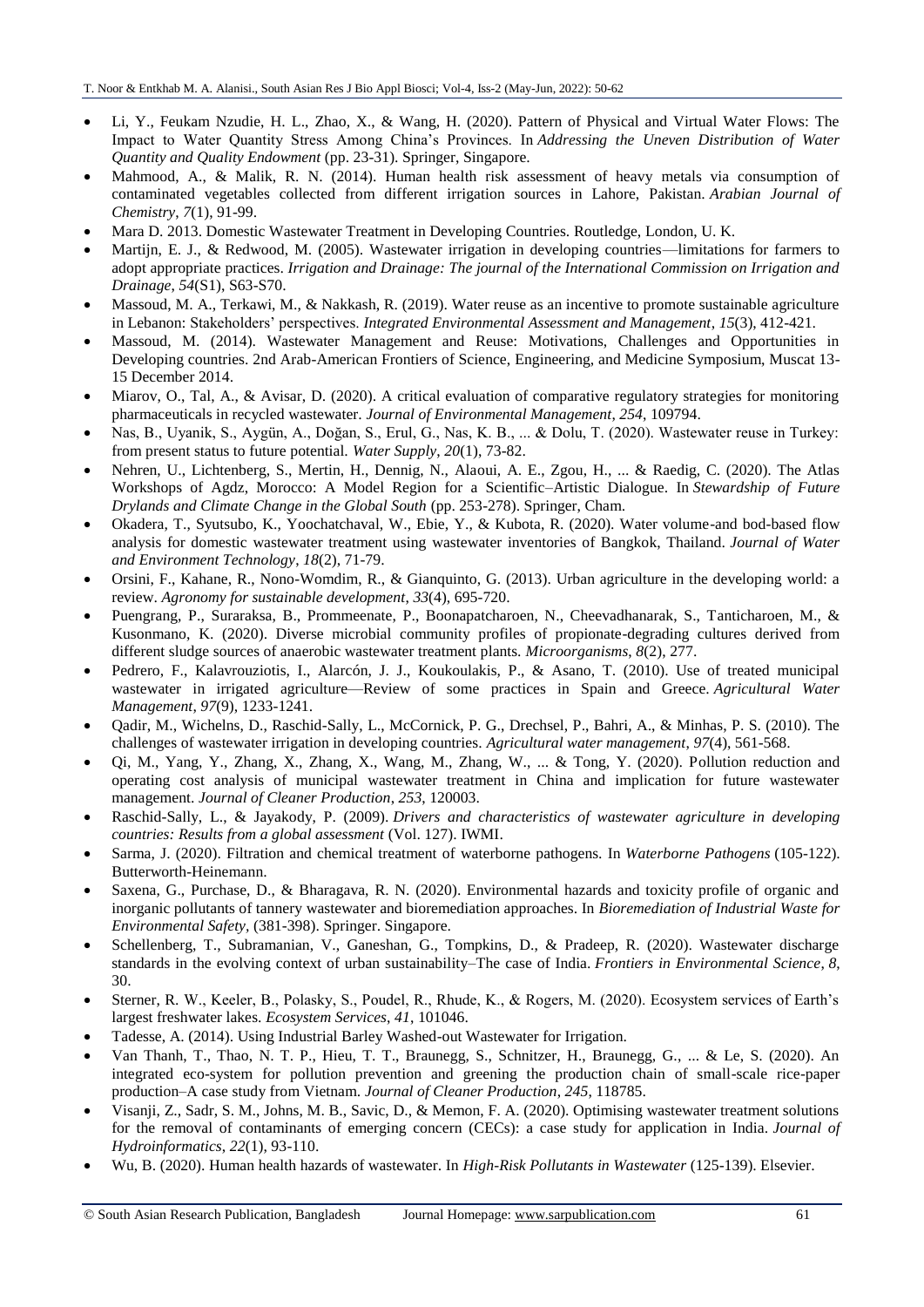- Li, Y., Feukam Nzudie, H. L., Zhao, X., & Wang, H. (2020). Pattern of Physical and Virtual Water Flows: The Impact to Water Quantity Stress Among China's Provinces. In *Addressing the Uneven Distribution of Water Quantity and Quality Endowment* (pp. 23-31). Springer, Singapore.
- Mahmood, A., & Malik, R. N. (2014). Human health risk assessment of heavy metals via consumption of contaminated vegetables collected from different irrigation sources in Lahore, Pakistan. *Arabian Journal of Chemistry*, *7*(1), 91-99.
- Mara D. 2013. Domestic Wastewater Treatment in Developing Countries. Routledge, London, U. K.
- Martijn, E. J., & Redwood, M. (2005). Wastewater irrigation in developing countries—limitations for farmers to adopt appropriate practices. *Irrigation and Drainage: The journal of the International Commission on Irrigation and Drainage*, *54*(S1), S63-S70.
- Massoud, M. A., Terkawi, M., & Nakkash, R. (2019). Water reuse as an incentive to promote sustainable agriculture in Lebanon: Stakeholders' perspectives. *Integrated Environmental Assessment and Management*, *15*(3), 412-421.
- Massoud, M. (2014). Wastewater Management and Reuse: Motivations, Challenges and Opportunities in Developing countries. 2nd Arab-American Frontiers of Science, Engineering, and Medicine Symposium, Muscat 13- 15 December 2014.
- Miarov, O., Tal, A., & Avisar, D. (2020). A critical evaluation of comparative regulatory strategies for monitoring pharmaceuticals in recycled wastewater. *Journal of Environmental Management*, *254*, 109794.
- Nas, B., Uyanik, S., Aygün, A., Doğan, S., Erul, G., Nas, K. B., ... & Dolu, T. (2020). Wastewater reuse in Turkey: from present status to future potential. *Water Supply*, *20*(1), 73-82.
- Nehren, U., Lichtenberg, S., Mertin, H., Dennig, N., Alaoui, A. E., Zgou, H., ... & Raedig, C. (2020). The Atlas Workshops of Agdz, Morocco: A Model Region for a Scientific–Artistic Dialogue. In *Stewardship of Future Drylands and Climate Change in the Global South* (pp. 253-278). Springer, Cham.
- Okadera, T., Syutsubo, K., Yoochatchaval, W., Ebie, Y., & Kubota, R. (2020). Water volume-and bod-based flow analysis for domestic wastewater treatment using wastewater inventories of Bangkok, Thailand. *Journal of Water and Environment Technology*, *18*(2), 71-79.
- Orsini, F., Kahane, R., Nono-Womdim, R., & Gianquinto, G. (2013). Urban agriculture in the developing world: a review. *Agronomy for sustainable development*, *33*(4), 695-720.
- Puengrang, P., Suraraksa, B., Prommeenate, P., Boonapatcharoen, N., Cheevadhanarak, S., Tanticharoen, M., & Kusonmano, K. (2020). Diverse microbial community profiles of propionate-degrading cultures derived from different sludge sources of anaerobic wastewater treatment plants. *Microorganisms*, *8*(2), 277.
- Pedrero, F., Kalavrouziotis, I., Alarcón, J. J., Koukoulakis, P., & Asano, T. (2010). Use of treated municipal wastewater in irrigated agriculture—Review of some practices in Spain and Greece. *Agricultural Water Management*, *97*(9), 1233-1241.
- Qadir, M., Wichelns, D., Raschid-Sally, L., McCornick, P. G., Drechsel, P., Bahri, A., & Minhas, P. S. (2010). The challenges of wastewater irrigation in developing countries. *Agricultural water management*, *97*(4), 561-568.
- Qi, M., Yang, Y., Zhang, X., Zhang, X., Wang, M., Zhang, W., ... & Tong, Y. (2020). Pollution reduction and operating cost analysis of municipal wastewater treatment in China and implication for future wastewater management. *Journal of Cleaner Production*, *253*, 120003.
- Raschid-Sally, L., & Jayakody, P. (2009). *Drivers and characteristics of wastewater agriculture in developing countries: Results from a global assessment* (Vol. 127). IWMI.
- Sarma, J. (2020). Filtration and chemical treatment of waterborne pathogens. In *Waterborne Pathogens* (105-122). Butterworth-Heinemann.
- Saxena, G., Purchase, D., & Bharagava, R. N. (2020). Environmental hazards and toxicity profile of organic and inorganic pollutants of tannery wastewater and bioremediation approaches. In *Bioremediation of Industrial Waste for Environmental Safety,* (381-398). Springer. Singapore.
- Schellenberg, T., Subramanian, V., Ganeshan, G., Tompkins, D., & Pradeep, R. (2020). Wastewater discharge standards in the evolving context of urban sustainability–The case of India. *Frontiers in Environmental Science*, *8*, 30.
- Sterner, R. W., Keeler, B., Polasky, S., Poudel, R., Rhude, K., & Rogers, M. (2020). Ecosystem services of Earth's largest freshwater lakes. *Ecosystem Services*, *41*, 101046.
- Tadesse, A. (2014). Using Industrial Barley Washed-out Wastewater for Irrigation.
- Van Thanh, T., Thao, N. T. P., Hieu, T. T., Braunegg, S., Schnitzer, H., Braunegg, G., ... & Le, S. (2020). An integrated eco-system for pollution prevention and greening the production chain of small-scale rice-paper production–A case study from Vietnam. *Journal of Cleaner Production*, *245*, 118785.
- Visanji, Z., Sadr, S. M., Johns, M. B., Savic, D., & Memon, F. A. (2020). Optimising wastewater treatment solutions for the removal of contaminants of emerging concern (CECs): a case study for application in India. *Journal of Hydroinformatics*, *22*(1), 93-110.
- Wu, B. (2020). Human health hazards of wastewater. In *High-Risk Pollutants in Wastewater* (125-139). Elsevier.